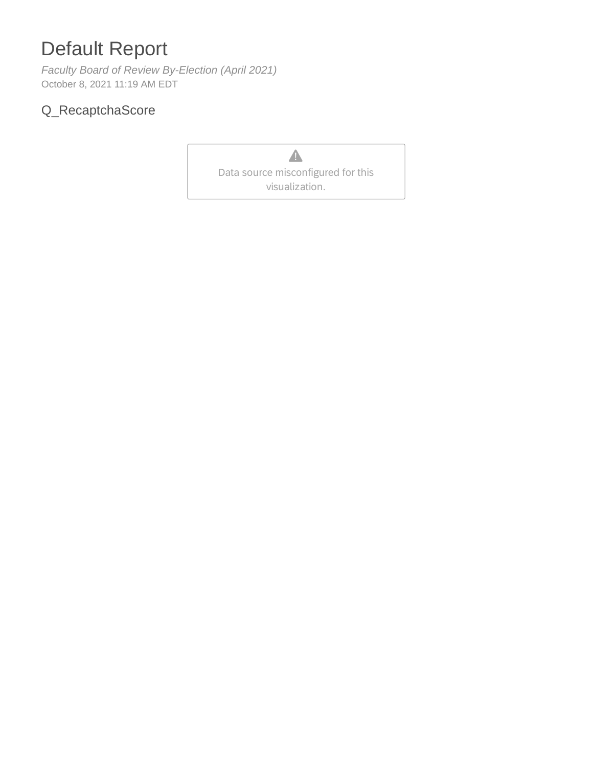## Default Report

*Faculty Board of Review By-Election (April 2021)* October 8, 2021 11:19 AM EDT

## Q\_RecaptchaScore

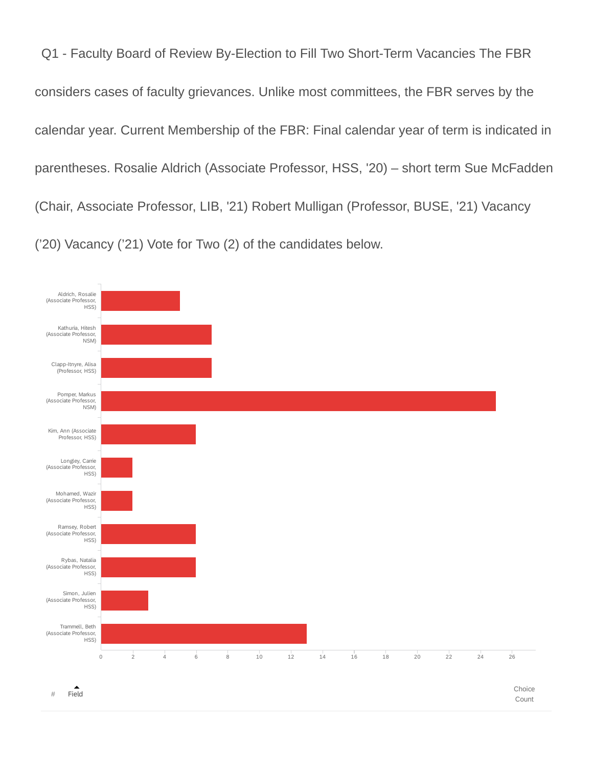Q1 - Faculty Board of Review By-Election to Fill Two Short-Term Vacancies The FBR considers cases of faculty grievances. Unlike most committees, the FBR serves by the calendar year. Current Membership of the FBR: Final calendar year of term is indicated in parentheses. Rosalie Aldrich (Associate Professor, HSS, '20) – short term Sue McFadden (Chair, Associate Professor, LIB, '21) Robert Mulligan (Professor, BUSE, '21) Vacancy ('20) Vacancy ('21) Vote for Two (2) of the candidates below.